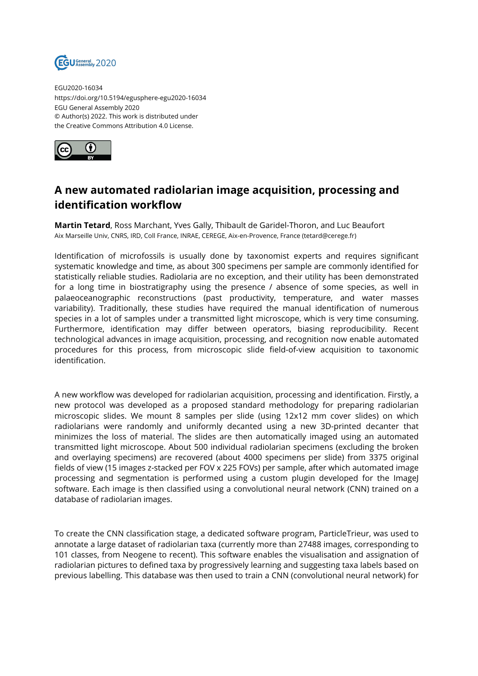

EGU2020-16034 https://doi.org/10.5194/egusphere-egu2020-16034 EGU General Assembly 2020 © Author(s) 2022. This work is distributed under the Creative Commons Attribution 4.0 License.



## **A new automated radiolarian image acquisition, processing and identification workflow**

**Martin Tetard**, Ross Marchant, Yves Gally, Thibault de Garidel-Thoron, and Luc Beaufort Aix Marseille Univ, CNRS, IRD, Coll France, INRAE, CEREGE, Aix-en-Provence, France (tetard@cerege.fr)

Identification of microfossils is usually done by taxonomist experts and requires significant systematic knowledge and time, as about 300 specimens per sample are commonly identified for statistically reliable studies. Radiolaria are no exception, and their utility has been demonstrated for a long time in biostratigraphy using the presence / absence of some species, as well in palaeoceanographic reconstructions (past productivity, temperature, and water masses variability). Traditionally, these studies have required the manual identification of numerous species in a lot of samples under a transmitted light microscope, which is very time consuming. Furthermore, identification may differ between operators, biasing reproducibility. Recent technological advances in image acquisition, processing, and recognition now enable automated procedures for this process, from microscopic slide field-of-view acquisition to taxonomic identification.

A new workflow was developed for radiolarian acquisition, processing and identification. Firstly, a new protocol was developed as a proposed standard methodology for preparing radiolarian microscopic slides. We mount 8 samples per slide (using 12x12 mm cover slides) on which radiolarians were randomly and uniformly decanted using a new 3D-printed decanter that minimizes the loss of material. The slides are then automatically imaged using an automated transmitted light microscope. About 500 individual radiolarian specimens (excluding the broken and overlaying specimens) are recovered (about 4000 specimens per slide) from 3375 original fields of view (15 images z-stacked per FOV x 225 FOVs) per sample, after which automated image processing and segmentation is performed using a custom plugin developed for the ImageJ software. Each image is then classified using a convolutional neural network (CNN) trained on a database of radiolarian images.

To create the CNN classification stage, a dedicated software program, ParticleTrieur, was used to annotate a large dataset of radiolarian taxa (currently more than 27488 images, corresponding to 101 classes, from Neogene to recent). This software enables the visualisation and assignation of radiolarian pictures to defined taxa by progressively learning and suggesting taxa labels based on previous labelling. This database was then used to train a CNN (convolutional neural network) for